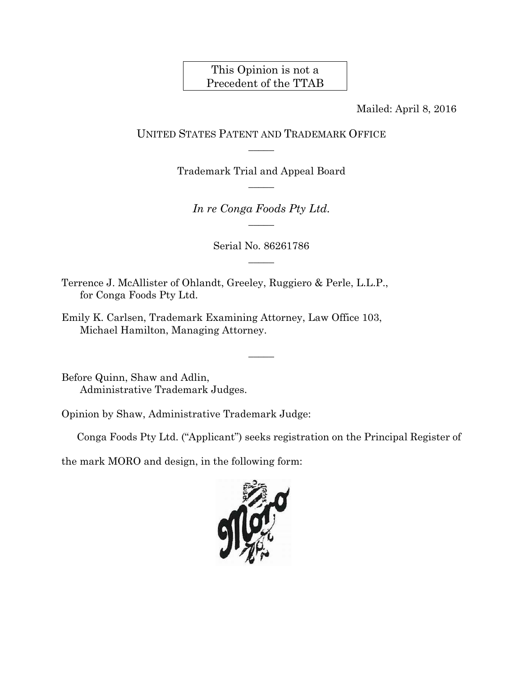## This Opinion is not a Precedent of the TTAB

Mailed: April 8, 2016

## UNITED STATES PATENT AND TRADEMARK OFFICE  $\overline{\phantom{a}}$

Trademark Trial and Appeal Board  $\overline{\phantom{a}}$ 

*In re Conga Foods Pty Ltd.*   $\overline{\phantom{a}}$ 

> Serial No. 86261786  $\overline{\phantom{a}}$

> > $\overline{\phantom{a}}$

Terrence J. McAllister of Ohlandt, Greeley, Ruggiero & Perle, L.L.P., for Conga Foods Pty Ltd.

Emily K. Carlsen, Trademark Examining Attorney, Law Office 103, Michael Hamilton, Managing Attorney.

Before Quinn, Shaw and Adlin, Administrative Trademark Judges.

Opinion by Shaw, Administrative Trademark Judge:

Conga Foods Pty Ltd. ("Applicant") seeks registration on the Principal Register of

the mark MORO and design, in the following form:

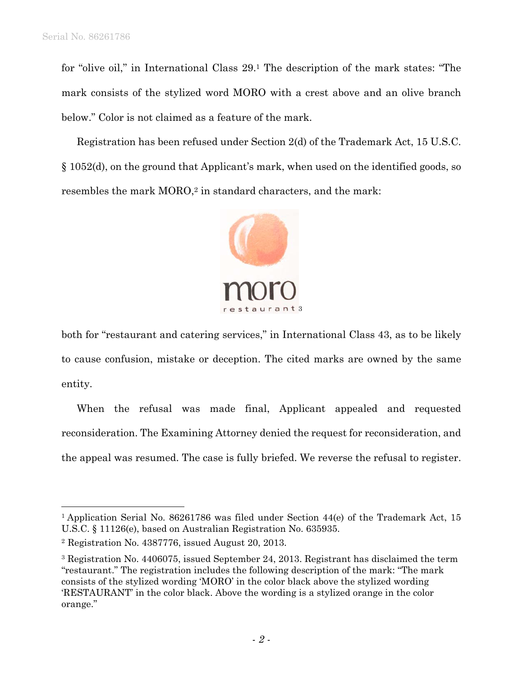$\overline{a}$ 

for "olive oil," in International Class 29.1 The description of the mark states: "The mark consists of the stylized word MORO with a crest above and an olive branch below." Color is not claimed as a feature of the mark.

Registration has been refused under Section 2(d) of the Trademark Act, 15 U.S.C. § 1052(d), on the ground that Applicant's mark, when used on the identified goods, so resembles the mark MORO,<sup>2</sup> in standard characters, and the mark:



both for "restaurant and catering services," in International Class 43, as to be likely to cause confusion, mistake or deception. The cited marks are owned by the same entity.

When the refusal was made final, Applicant appealed and requested reconsideration. The Examining Attorney denied the request for reconsideration, and the appeal was resumed. The case is fully briefed. We reverse the refusal to register.

<sup>&</sup>lt;sup>1</sup> Application Serial No. 86261786 was filed under Section 44(e) of the Trademark Act, 15 U.S.C. § 11126(e), based on Australian Registration No. 635935.

<sup>2</sup> Registration No. 4387776, issued August 20, 2013.

<sup>3</sup> Registration No. 4406075, issued September 24, 2013. Registrant has disclaimed the term "restaurant." The registration includes the following description of the mark: "The mark consists of the stylized wording 'MORO' in the color black above the stylized wording 'RESTAURANT' in the color black. Above the wording is a stylized orange in the color orange."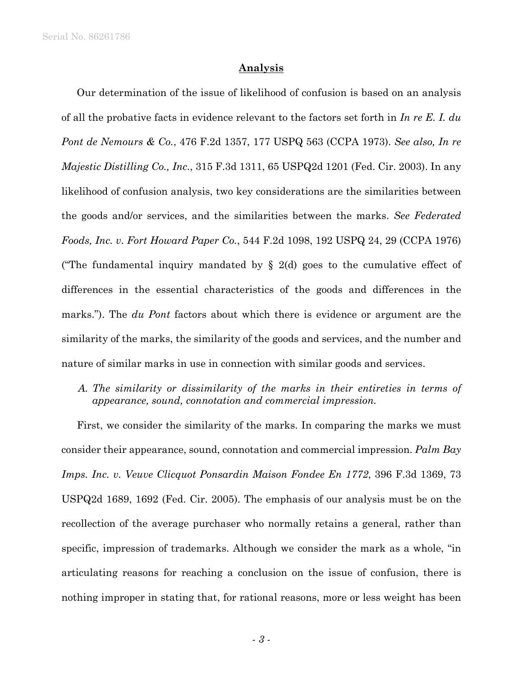Serial No. 86261786

## **Analysis**

Our determination of the issue of likelihood of confusion is based on an analysis of all the probative facts in evidence relevant to the factors set forth in *In re E. I. du Pont de Nemours & Co.*, 476 F.2d 1357, 177 USPQ 563 (CCPA 1973). *See also, In re Majestic Distilling Co., Inc.*, 315 F.3d 1311, 65 USPQ2d 1201 (Fed. Cir. 2003). In any likelihood of confusion analysis, two key considerations are the similarities between the goods and/or services, and the similarities between the marks. *See Federated Foods, Inc. v. Fort Howard Paper Co.*, 544 F.2d 1098, 192 USPQ 24, 29 (CCPA 1976) ("The fundamental inquiry mandated by  $\S$  2(d) goes to the cumulative effect of differences in the essential characteristics of the goods and differences in the marks."). The *du Pont* factors about which there is evidence or argument are the similarity of the marks, the similarity of the goods and services, and the number and nature of similar marks in use in connection with similar goods and services.

*A. The similarity or dissimilarity of the marks in their entireties in terms of appearance, sound, connotation and commercial impression.* 

First, we consider the similarity of the marks. In comparing the marks we must consider their appearance, sound, connotation and commercial impression. *Palm Bay Imps. Inc. v. Veuve Clicquot Ponsardin Maison Fondee En 1772*, 396 F.3d 1369, 73 USPQ2d 1689, 1692 (Fed. Cir. 2005). The emphasis of our analysis must be on the recollection of the average purchaser who normally retains a general, rather than specific, impression of trademarks. Although we consider the mark as a whole, "in articulating reasons for reaching a conclusion on the issue of confusion, there is nothing improper in stating that, for rational reasons, more or less weight has been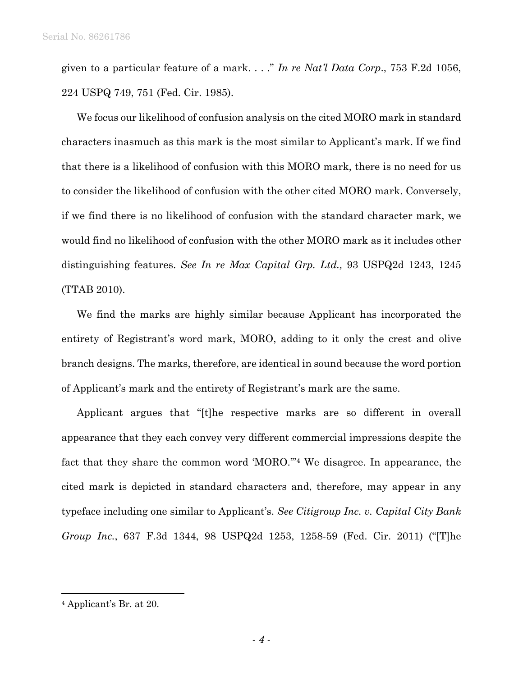given to a particular feature of a mark. . . ." *In re Nat'l Data Corp*., 753 F.2d 1056, 224 USPQ 749, 751 (Fed. Cir. 1985).

We focus our likelihood of confusion analysis on the cited MORO mark in standard characters inasmuch as this mark is the most similar to Applicant's mark. If we find that there is a likelihood of confusion with this MORO mark, there is no need for us to consider the likelihood of confusion with the other cited MORO mark. Conversely, if we find there is no likelihood of confusion with the standard character mark, we would find no likelihood of confusion with the other MORO mark as it includes other distinguishing features. *See In re Max Capital Grp. Ltd.,* 93 USPQ2d 1243, 1245 (TTAB 2010).

We find the marks are highly similar because Applicant has incorporated the entirety of Registrant's word mark, MORO, adding to it only the crest and olive branch designs. The marks, therefore, are identical in sound because the word portion of Applicant's mark and the entirety of Registrant's mark are the same.

Applicant argues that "[t]he respective marks are so different in overall appearance that they each convey very different commercial impressions despite the fact that they share the common word 'MORO.'"4 We disagree. In appearance, the cited mark is depicted in standard characters and, therefore, may appear in any typeface including one similar to Applicant's. *See Citigroup Inc. v. Capital City Bank Group Inc.*, 637 F.3d 1344, 98 USPQ2d 1253, 1258-59 (Fed. Cir. 2011) ("[T]he

1

<sup>4</sup> Applicant's Br. at 20.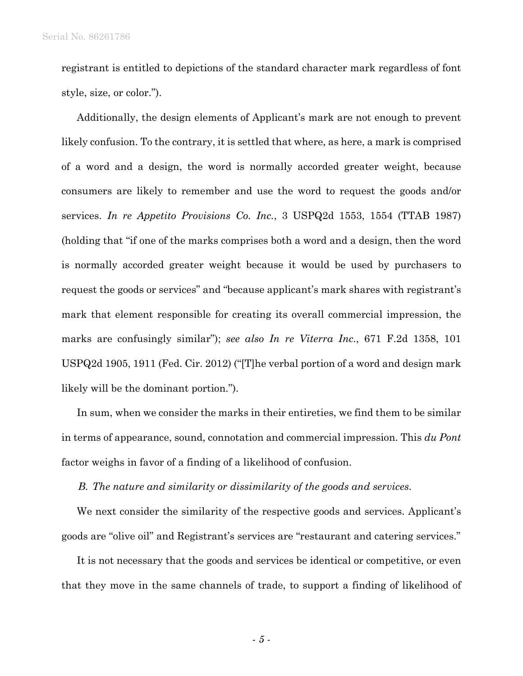registrant is entitled to depictions of the standard character mark regardless of font style, size, or color.").

Additionally, the design elements of Applicant's mark are not enough to prevent likely confusion. To the contrary, it is settled that where, as here, a mark is comprised of a word and a design, the word is normally accorded greater weight, because consumers are likely to remember and use the word to request the goods and/or services. *In re Appetito Provisions Co. Inc.*, 3 USPQ2d 1553, 1554 (TTAB 1987) (holding that "if one of the marks comprises both a word and a design, then the word is normally accorded greater weight because it would be used by purchasers to request the goods or services" and "because applicant's mark shares with registrant's mark that element responsible for creating its overall commercial impression, the marks are confusingly similar"); *see also In re Viterra Inc.*, 671 F.2d 1358, 101 USPQ2d 1905, 1911 (Fed. Cir. 2012) ("[T]he verbal portion of a word and design mark likely will be the dominant portion.").

In sum, when we consider the marks in their entireties, we find them to be similar in terms of appearance, sound, connotation and commercial impression. This *du Pont* factor weighs in favor of a finding of a likelihood of confusion.

*B. The nature and similarity or dissimilarity of the goods and services.* 

We next consider the similarity of the respective goods and services. Applicant's goods are "olive oil" and Registrant's services are "restaurant and catering services."

It is not necessary that the goods and services be identical or competitive, or even that they move in the same channels of trade, to support a finding of likelihood of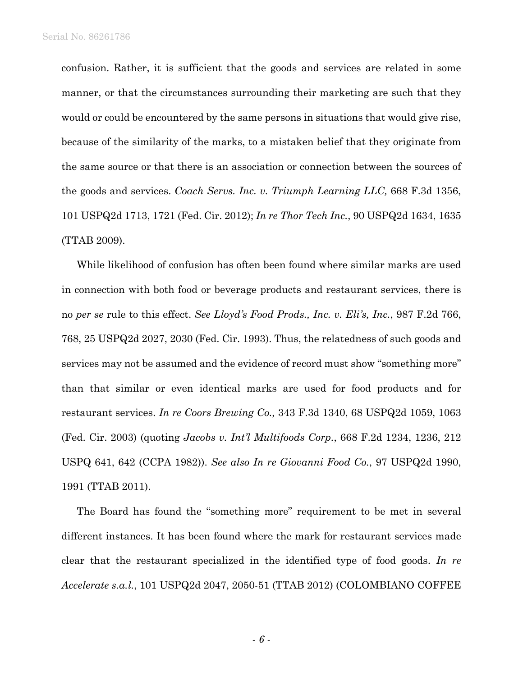confusion. Rather, it is sufficient that the goods and services are related in some manner, or that the circumstances surrounding their marketing are such that they would or could be encountered by the same persons in situations that would give rise, because of the similarity of the marks, to a mistaken belief that they originate from the same source or that there is an association or connection between the sources of the goods and services. *Coach Servs. Inc. v. Triumph Learning LLC,* 668 F.3d 1356, 101 USPQ2d 1713, 1721 (Fed. Cir. 2012); *In re Thor Tech Inc.*, 90 USPQ2d 1634, 1635 (TTAB 2009).

While likelihood of confusion has often been found where similar marks are used in connection with both food or beverage products and restaurant services, there is no *per se* rule to this effect. *See Lloyd's Food Prods., Inc. v. Eli's, Inc.*, 987 F.2d 766, 768, 25 USPQ2d 2027, 2030 (Fed. Cir. 1993). Thus, the relatedness of such goods and services may not be assumed and the evidence of record must show "something more" than that similar or even identical marks are used for food products and for restaurant services. *In re Coors Brewing Co.,* 343 F.3d 1340, 68 USPQ2d 1059, 1063 (Fed. Cir. 2003) (quoting *Jacobs v. Int'l Multifoods Corp.*, 668 F.2d 1234, 1236, 212 USPQ 641, 642 (CCPA 1982)). *See also In re Giovanni Food Co.*, 97 USPQ2d 1990, 1991 (TTAB 2011).

The Board has found the "something more" requirement to be met in several different instances. It has been found where the mark for restaurant services made clear that the restaurant specialized in the identified type of food goods. *In re Accelerate s.a.l.*, 101 USPQ2d 2047, 2050-51 (TTAB 2012) (COLOMBIANO COFFEE

- *6* -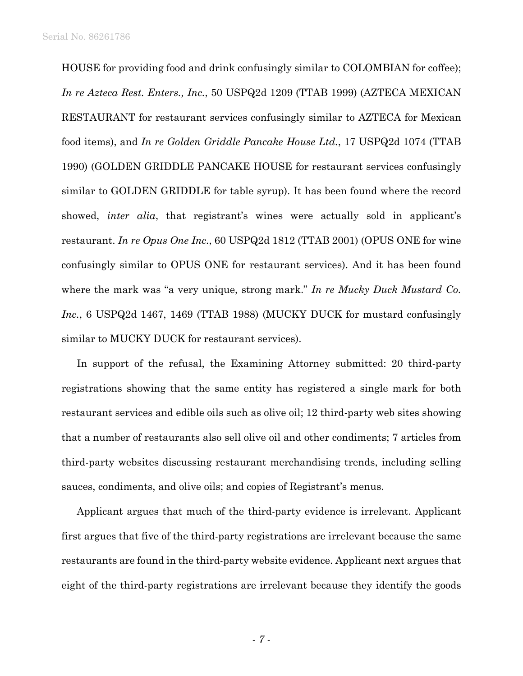HOUSE for providing food and drink confusingly similar to COLOMBIAN for coffee); *In re Azteca Rest. Enters., Inc.*, 50 USPQ2d 1209 (TTAB 1999) (AZTECA MEXICAN RESTAURANT for restaurant services confusingly similar to AZTECA for Mexican food items), and *In re Golden Griddle Pancake House Ltd.*, 17 USPQ2d 1074 (TTAB 1990) (GOLDEN GRIDDLE PANCAKE HOUSE for restaurant services confusingly similar to GOLDEN GRIDDLE for table syrup). It has been found where the record showed, *inter alia*, that registrant's wines were actually sold in applicant's restaurant. *In re Opus One Inc.*, 60 USPQ2d 1812 (TTAB 2001) (OPUS ONE for wine confusingly similar to OPUS ONE for restaurant services). And it has been found where the mark was "a very unique, strong mark." *In re Mucky Duck Mustard Co. Inc.*, 6 USPQ2d 1467, 1469 (TTAB 1988) (MUCKY DUCK for mustard confusingly similar to MUCKY DUCK for restaurant services).

In support of the refusal, the Examining Attorney submitted: 20 third-party registrations showing that the same entity has registered a single mark for both restaurant services and edible oils such as olive oil; 12 third-party web sites showing that a number of restaurants also sell olive oil and other condiments; 7 articles from third-party websites discussing restaurant merchandising trends, including selling sauces, condiments, and olive oils; and copies of Registrant's menus.

Applicant argues that much of the third-party evidence is irrelevant. Applicant first argues that five of the third-party registrations are irrelevant because the same restaurants are found in the third-party website evidence. Applicant next argues that eight of the third-party registrations are irrelevant because they identify the goods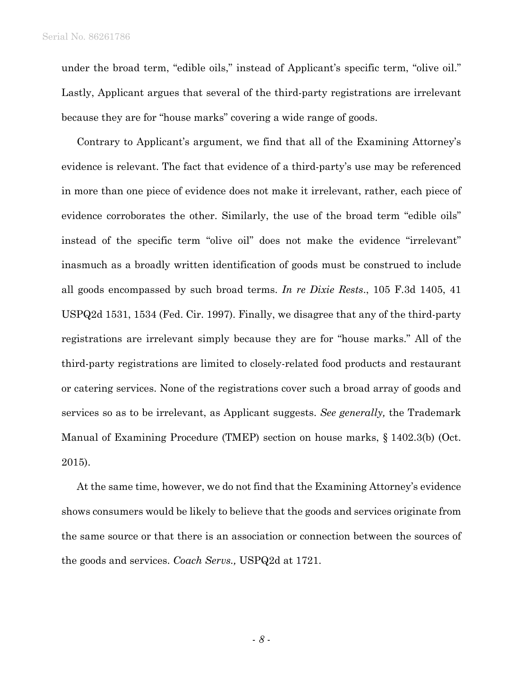under the broad term, "edible oils," instead of Applicant's specific term, "olive oil." Lastly, Applicant argues that several of the third-party registrations are irrelevant because they are for "house marks" covering a wide range of goods.

Contrary to Applicant's argument, we find that all of the Examining Attorney's evidence is relevant. The fact that evidence of a third-party's use may be referenced in more than one piece of evidence does not make it irrelevant, rather, each piece of evidence corroborates the other. Similarly, the use of the broad term "edible oils" instead of the specific term "olive oil" does not make the evidence "irrelevant" inasmuch as a broadly written identification of goods must be construed to include all goods encompassed by such broad terms. *In re Dixie Rests*., 105 F.3d 1405, 41 USPQ2d 1531, 1534 (Fed. Cir. 1997). Finally, we disagree that any of the third-party registrations are irrelevant simply because they are for "house marks." All of the third-party registrations are limited to closely-related food products and restaurant or catering services. None of the registrations cover such a broad array of goods and services so as to be irrelevant, as Applicant suggests. *See generally,* the Trademark Manual of Examining Procedure (TMEP) section on house marks, § 1402.3(b) (Oct. 2015).

At the same time, however, we do not find that the Examining Attorney's evidence shows consumers would be likely to believe that the goods and services originate from the same source or that there is an association or connection between the sources of the goods and services. *Coach Servs.,* USPQ2d at 1721.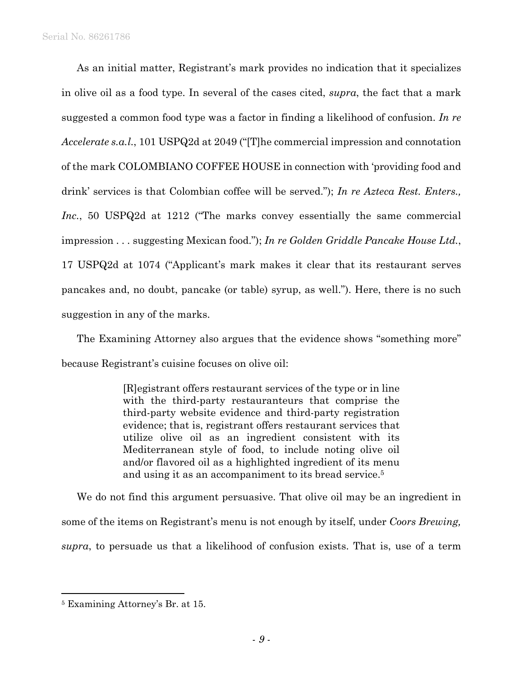As an initial matter, Registrant's mark provides no indication that it specializes in olive oil as a food type. In several of the cases cited, *supra*, the fact that a mark suggested a common food type was a factor in finding a likelihood of confusion. *In re Accelerate s.a.l.*, 101 USPQ2d at 2049 ("[T]he commercial impression and connotation of the mark COLOMBIANO COFFEE HOUSE in connection with 'providing food and drink' services is that Colombian coffee will be served."); *In re Azteca Rest. Enters., Inc.*, 50 USPQ2d at 1212 ("The marks convey essentially the same commercial impression . . . suggesting Mexican food."); *In re Golden Griddle Pancake House Ltd.*, 17 USPQ2d at 1074 ("Applicant's mark makes it clear that its restaurant serves pancakes and, no doubt, pancake (or table) syrup, as well."). Here, there is no such suggestion in any of the marks.

The Examining Attorney also argues that the evidence shows "something more" because Registrant's cuisine focuses on olive oil:

> [R]egistrant offers restaurant services of the type or in line with the third-party restauranteurs that comprise the third-party website evidence and third-party registration evidence; that is, registrant offers restaurant services that utilize olive oil as an ingredient consistent with its Mediterranean style of food, to include noting olive oil and/or flavored oil as a highlighted ingredient of its menu and using it as an accompaniment to its bread service.5

We do not find this argument persuasive. That olive oil may be an ingredient in some of the items on Registrant's menu is not enough by itself, under *Coors Brewing, supra*, to persuade us that a likelihood of confusion exists. That is, use of a term

1

<sup>5</sup> Examining Attorney's Br. at 15.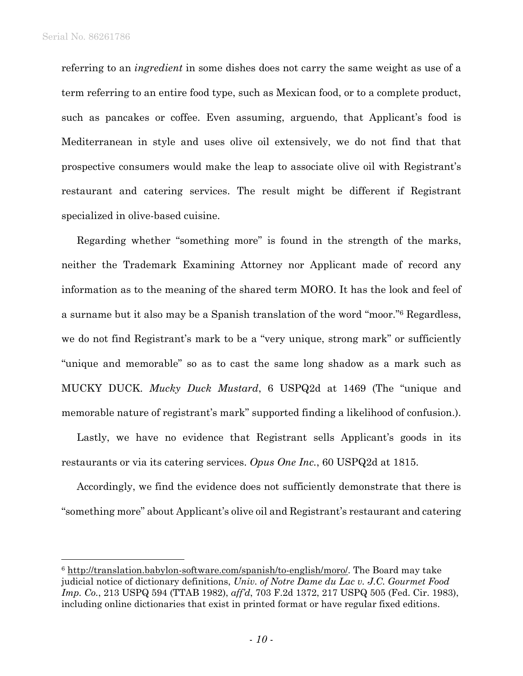1

referring to an *ingredient* in some dishes does not carry the same weight as use of a term referring to an entire food type, such as Mexican food, or to a complete product, such as pancakes or coffee. Even assuming, arguendo, that Applicant's food is Mediterranean in style and uses olive oil extensively, we do not find that that prospective consumers would make the leap to associate olive oil with Registrant's restaurant and catering services. The result might be different if Registrant specialized in olive-based cuisine.

Regarding whether "something more" is found in the strength of the marks, neither the Trademark Examining Attorney nor Applicant made of record any information as to the meaning of the shared term MORO. It has the look and feel of a surname but it also may be a Spanish translation of the word "moor."6 Regardless, we do not find Registrant's mark to be a "very unique, strong mark" or sufficiently "unique and memorable" so as to cast the same long shadow as a mark such as MUCKY DUCK. *Mucky Duck Mustard*, 6 USPQ2d at 1469 (The "unique and memorable nature of registrant's mark" supported finding a likelihood of confusion.).

Lastly, we have no evidence that Registrant sells Applicant's goods in its restaurants or via its catering services. *Opus One Inc.*, 60 USPQ2d at 1815.

Accordingly, we find the evidence does not sufficiently demonstrate that there is "something more" about Applicant's olive oil and Registrant's restaurant and catering

<sup>6</sup> http://translation.babylon-software.com/spanish/to-english/moro/. The Board may take judicial notice of dictionary definitions, *Univ. of Notre Dame du Lac v. J.C. Gourmet Food Imp. Co.*, 213 USPQ 594 (TTAB 1982), *aff'd*, 703 F.2d 1372, 217 USPQ 505 (Fed. Cir. 1983), including online dictionaries that exist in printed format or have regular fixed editions.